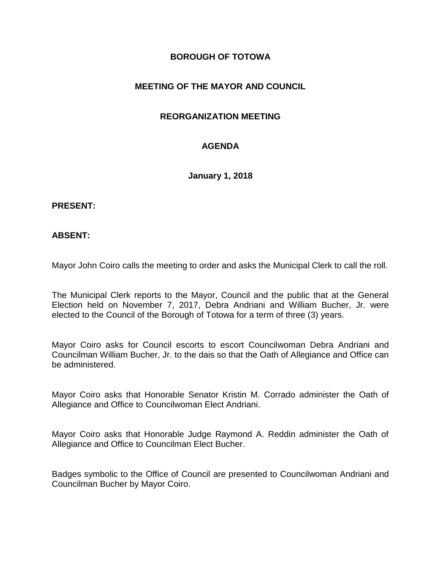# **BOROUGH OF TOTOWA**

# **MEETING OF THE MAYOR AND COUNCIL**

## **REORGANIZATION MEETING**

# **AGENDA**

**January 1, 2018**

#### **PRESENT:**

#### **ABSENT:**

Mayor John Coiro calls the meeting to order and asks the Municipal Clerk to call the roll.

The Municipal Clerk reports to the Mayor, Council and the public that at the General Election held on November 7, 2017, Debra Andriani and William Bucher, Jr. were elected to the Council of the Borough of Totowa for a term of three (3) years.

Mayor Coiro asks for Council escorts to escort Councilwoman Debra Andriani and Councilman William Bucher, Jr. to the dais so that the Oath of Allegiance and Office can be administered.

Mayor Coiro asks that Honorable Senator Kristin M. Corrado administer the Oath of Allegiance and Office to Councilwoman Elect Andriani.

Mayor Coiro asks that Honorable Judge Raymond A. Reddin administer the Oath of Allegiance and Office to Councilman Elect Bucher.

Badges symbolic to the Office of Council are presented to Councilwoman Andriani and Councilman Bucher by Mayor Coiro.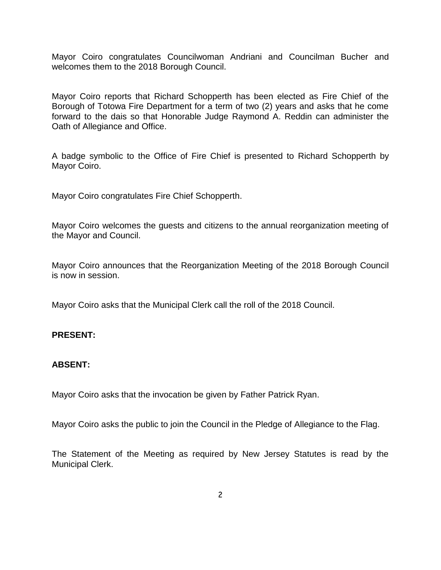Mayor Coiro congratulates Councilwoman Andriani and Councilman Bucher and welcomes them to the 2018 Borough Council.

Mayor Coiro reports that Richard Schopperth has been elected as Fire Chief of the Borough of Totowa Fire Department for a term of two (2) years and asks that he come forward to the dais so that Honorable Judge Raymond A. Reddin can administer the Oath of Allegiance and Office.

A badge symbolic to the Office of Fire Chief is presented to Richard Schopperth by Mayor Coiro.

Mayor Coiro congratulates Fire Chief Schopperth.

Mayor Coiro welcomes the guests and citizens to the annual reorganization meeting of the Mayor and Council.

Mayor Coiro announces that the Reorganization Meeting of the 2018 Borough Council is now in session.

Mayor Coiro asks that the Municipal Clerk call the roll of the 2018 Council.

## **PRESENT:**

## **ABSENT:**

Mayor Coiro asks that the invocation be given by Father Patrick Ryan.

Mayor Coiro asks the public to join the Council in the Pledge of Allegiance to the Flag.

The Statement of the Meeting as required by New Jersey Statutes is read by the Municipal Clerk.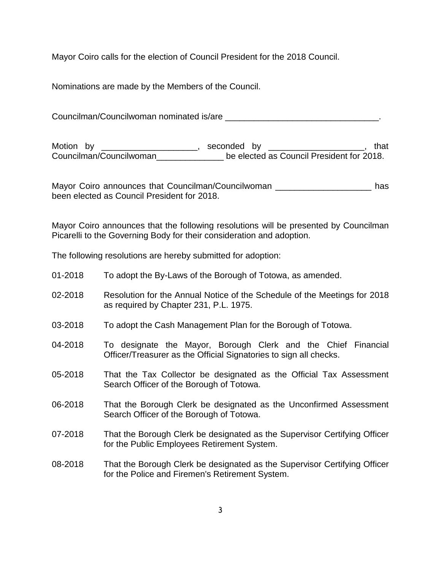Mayor Coiro calls for the election of Council President for the 2018 Council.

Nominations are made by the Members of the Council.

Councilman/Councilwoman nominated is/are \_\_\_\_\_\_\_\_\_\_\_\_\_\_\_\_\_\_\_\_\_\_\_\_\_\_\_\_\_\_\_\_.

Motion by \_\_\_\_\_\_\_\_\_\_\_\_\_\_\_\_\_\_\_\_, seconded by \_\_\_\_\_\_\_\_\_\_\_\_\_\_\_\_\_\_\_\_, that Councilman/Councilwoman\_\_\_\_\_\_\_\_\_\_\_\_\_\_ be elected as Council President for 2018.

Mayor Coiro announces that Councilman/Councilwoman \_\_\_\_\_\_\_\_\_\_\_\_\_\_\_\_\_\_\_\_\_\_\_\_ has been elected as Council President for 2018.

Mayor Coiro announces that the following resolutions will be presented by Councilman Picarelli to the Governing Body for their consideration and adoption.

The following resolutions are hereby submitted for adoption:

- 01-2018 To adopt the By-Laws of the Borough of Totowa, as amended.
- 02-2018 Resolution for the Annual Notice of the Schedule of the Meetings for 2018 as required by Chapter 231, P.L. 1975.
- 03-2018 To adopt the Cash Management Plan for the Borough of Totowa.
- 04-2018 To designate the Mayor, Borough Clerk and the Chief Financial Officer/Treasurer as the Official Signatories to sign all checks.
- 05-2018 That the Tax Collector be designated as the Official Tax Assessment Search Officer of the Borough of Totowa.
- 06-2018 That the Borough Clerk be designated as the Unconfirmed Assessment Search Officer of the Borough of Totowa.
- 07-2018 That the Borough Clerk be designated as the Supervisor Certifying Officer for the Public Employees Retirement System.
- 08-2018 That the Borough Clerk be designated as the Supervisor Certifying Officer for the Police and Firemen's Retirement System.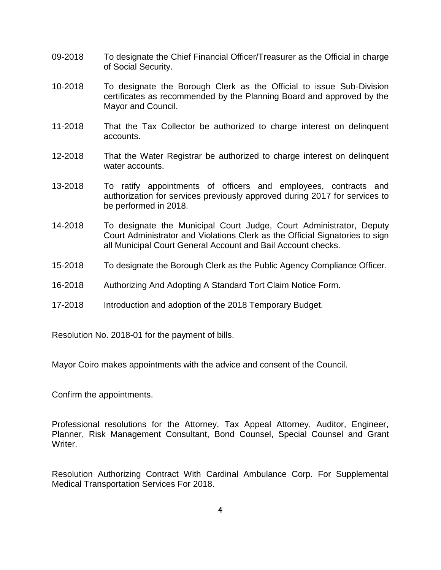- 09-2018 To designate the Chief Financial Officer/Treasurer as the Official in charge of Social Security.
- 10-2018 To designate the Borough Clerk as the Official to issue Sub-Division certificates as recommended by the Planning Board and approved by the Mayor and Council.
- 11-2018 That the Tax Collector be authorized to charge interest on delinquent accounts.
- 12-2018 That the Water Registrar be authorized to charge interest on delinquent water accounts.
- 13-2018 To ratify appointments of officers and employees, contracts and authorization for services previously approved during 2017 for services to be performed in 2018.
- 14-2018 To designate the Municipal Court Judge, Court Administrator, Deputy Court Administrator and Violations Clerk as the Official Signatories to sign all Municipal Court General Account and Bail Account checks.
- 15-2018 To designate the Borough Clerk as the Public Agency Compliance Officer.
- 16-2018 Authorizing And Adopting A Standard Tort Claim Notice Form.
- 17-2018 Introduction and adoption of the 2018 Temporary Budget.

Resolution No. 2018-01 for the payment of bills.

Mayor Coiro makes appointments with the advice and consent of the Council.

Confirm the appointments.

Professional resolutions for the Attorney, Tax Appeal Attorney, Auditor, Engineer, Planner, Risk Management Consultant, Bond Counsel, Special Counsel and Grant Writer.

Resolution Authorizing Contract With Cardinal Ambulance Corp. For Supplemental Medical Transportation Services For 2018.